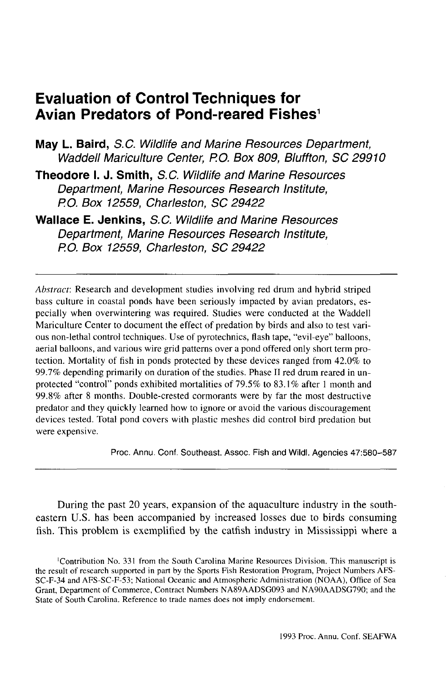# **Evaluation of Control Techniques for Avian Predators of Pond-reared Fishes<sup>1</sup>**

**May L. Baird,** S.C. Wildlife and Marine Resources Department, Waddell Mariculture Center, P.O. Box 809, Bluffton, SC 29910

**Theodore I. J. Smith,** S.C. Wildlife and Marine Resources Department, Marine Resources Research Institute, RO. Box 12559, Charleston, SC 29422

**Wallace E. Jenkins,** S.C. Wildlife and Marine Resources Department, Marine Resources Research Institute, RO. Box 12559, Charleston, SC 29422

*Abstract:* Research and development studies involving red drum and hybrid striped bass culture in coastal ponds have been seriously impacted by avian predators, especially when overwintering was required. Studies were conducted at the Waddell Mariculture Center to document the effect of predation by birds and also to test various non-lethal control techniques. Use of pyrotechnics, flash tape, "evil-eye" balloons, aerial balloons, and various wire grid patterns over a pond offered only short term protection. Mortality of fish in ponds protected by these devices ranged from 42.0% to 99.7% depending primarily on duration of the studies. Phase II red drum reared in unprotected "control" ponds exhibited mortalities of 79.5% to 83.1% after 1 month and 99.8% after 8 months. Double-crested cormorants were by far the most destructive predator and they quickly learned how to ignore or avoid the various discouragement devices tested. Total pond covers with plastic meshes did control bird predation but were expensive.

Proc. Annu. Conf. Southeast. Assoc. Fish and Wild). Agencies 47:580-587

During the past 20 years, expansion of the aquaculture industry in the southeastern U.S. has been accompanied by increased losses due to birds consuming fish. This problem is exemplified by the catfish industry in Mississippi where a

<sup>&#</sup>x27;Contribution No. 331 from the South Carolina Marine Resources Division. This manuscript is the result of research supported in part by the Sports Fish Restoration Program, Project Numbers AFS-SC-F-34 and AFS-SC-F-53; National Oceanic and Atmospheric Administration (NOAA), Office of Sea Grant, Department of Commerce, Contract Numbers NA89AADSG093 and NA90AADSG790; and the State of South Carolina. Reference to trade names does not imply endorsement.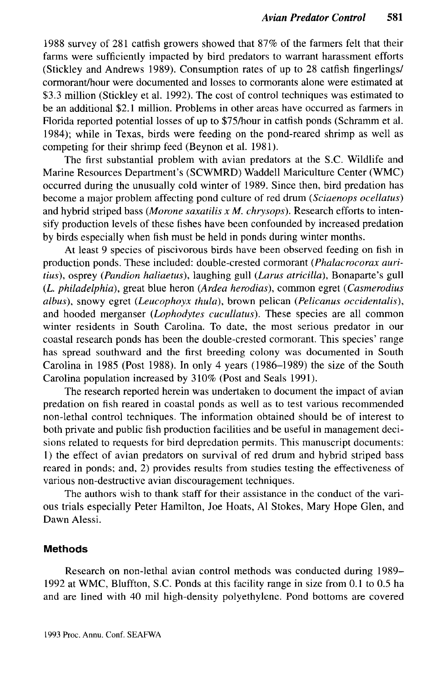1988 survey of 281 catfish growers showed that 87% of the farmers felt that their farms were sufficiently impacted by bird predators to warrant harassment efforts (Stickley and Andrews 1989). Consumption rates of up to 28 catfish fingerlings/ cormorant/hour were documented and losses to cormorants alone were estimated at \$3.3 million (Stickley et al. 1992). The cost of control techniques was estimated to be an additional \$2.1 million. Problems in other areas have occurred as farmers in Florida reported potential losses of up to \$75/hour in catfish ponds (Schramm et al. 1984); while in Texas, birds were feeding on the pond-reared shrimp as well as competing for their shrimp feed (Beynon et al. 1981).

The first substantial problem with avian predators at the S.C. Wildlife and Marine Resources Department's (SCWMRD) Waddell Mariculture Center (WMC) occurred during the unusually cold winter of 1989. Since then, bird predation has become a major problem affecting pond culture of red drum *(Sciaenops ocellatus)* and hybrid striped bass *(Morone saxatilis x M. chrysops).* Research efforts to intensify production levels of these fishes have been confounded by increased predation by birds especially when fish must be held in ponds during winter months.

At least 9 species of piscivorous birds have been observed feeding on fish in production ponds. These included: double-crested cormorant *(Phalacrocorax auritius),* osprey *(Pandion haliaetus),* laughing gull *(Larus atricilla),* Bonaparte's gull *(L Philadelphia),* great blue heron *(Ardea herodias),* common egret *(Casmerodius albus),* snowy egret *(Leucophoyx thula),* brown pelican *(Pelicanus occidentalis),* and hooded merganser *(Lophodytes cucullatus).* These species are all common winter residents in South Carolina. To date, the most serious predator in our coastal research ponds has been the double-crested cormorant. This species' range has spread southward and the first breeding colony was documented in South Carolina in 1985 (Post 1988). In only 4 years (1986-1989) the size of the South Carolina population increased by 310% (Post and Seals 1991).

The research reported herein was undertaken to document the impact of avian predation on fish reared in coastal ponds as well as to test various recommended non-lethal control techniques. The information obtained should be of interest to both private and public fish production facilities and be useful in management decisions related to requests for bird depredation permits. This manuscript documents: 1) the effect of avian predators on survival of red drum and hybrid striped bass reared in ponds; and, 2) provides results from studies testing the effectiveness of various non-destructive avian discouragement techniques.

The authors wish to thank staff for their assistance in the conduct of the various trials especially Peter Hamilton, Joe Hoats, Al Stokes, Mary Hope Glen, and Dawn Alessi.

#### **Methods**

Research on non-lethal avian control methods was conducted during 1989- 1992 at WMC, Bluffton, S.C. Ponds at this facility range in size from 0.1 to 0.5 ha and are lined with 40 mil high-density polyethylene. Pond bottoms are covered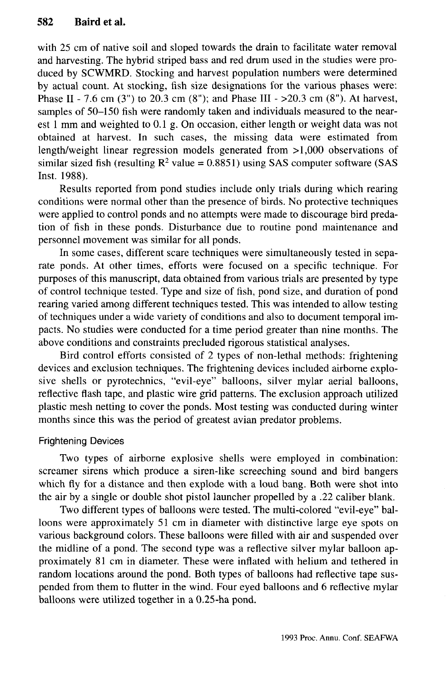with 25 cm of native soil and sloped towards the drain to facilitate water removal and harvesting. The hybrid striped bass and red drum used in the studies were produced by SCWMRD. Stocking and harvest population numbers were determined by actual count. At stocking, fish size designations for the various phases were: Phase II - 7.6 cm (3") to 20.3 cm (8"); and Phase III -  $>20.3$  cm (8"). At harvest, samples of 50-150 fish were randomly taken and individuals measured to the nearest 1 mm and weighted to 0.1 g. On occasion, either length or weight data was not obtained at harvest. In such cases, the missing data were estimated from length/weight linear regression models generated from >1,000 observations of similar sized fish (resulting  $R^2$  value = 0.8851) using SAS computer software (SAS Inst. 1988).

Results reported from pond studies include only trials during which rearing conditions were normal other than the presence of birds. No protective techniques were applied to control ponds and no attempts were made to discourage bird predation of fish in these ponds. Disturbance due to routine pond maintenance and personnel movement was similar for all ponds.

In some cases, different scare techniques were simultaneously tested in separate ponds. At other times, efforts were focused on a specific technique. For purposes of this manuscript, data obtained from various trials are presented by type of control technique tested. Type and size of fish, pond size, and duration of pond rearing varied among different techniques tested. This was intended to allow testing of techniques under a wide variety of conditions and also to document temporal impacts. No studies were conducted for a time period greater than nine months. The above conditions and constraints precluded rigorous statistical analyses.

Bird control efforts consisted of 2 types of non-lethal methods: frightening devices and exclusion techniques. The frightening devices included airborne explosive shells or pyrotechnics, "evil-eye" balloons, silver mylar aerial balloons, reflective flash tape, and plastic wire grid patterns. The exclusion approach utilized plastic mesh netting to cover the ponds. Most testing was conducted during winter months since this was the period of greatest avian predator problems.

## Frightening Devices

Two types of airborne explosive shells were employed in combination: screamer sirens which produce a siren-like screeching sound and bird bangers which fly for a distance and then explode with a loud bang. Both were shot into the air by a single or double shot pistol launcher propelled by a .22 caliber blank.

Two different types of balloons were tested. The multi-colored "evil-eye" balloons were approximately 51 cm in diameter with distinctive large eye spots on various background colors. These balloons were filled with air and suspended over the midline of a pond. The second type was a reflective silver mylar balloon approximately 81 cm in diameter. These were inflated with helium and tethered in random locations around the pond. Both types of balloons had reflective tape suspended from them to flutter in the wind. Four eyed balloons and 6 reflective mylar balloons were utilized together in a 0.25-ha pond.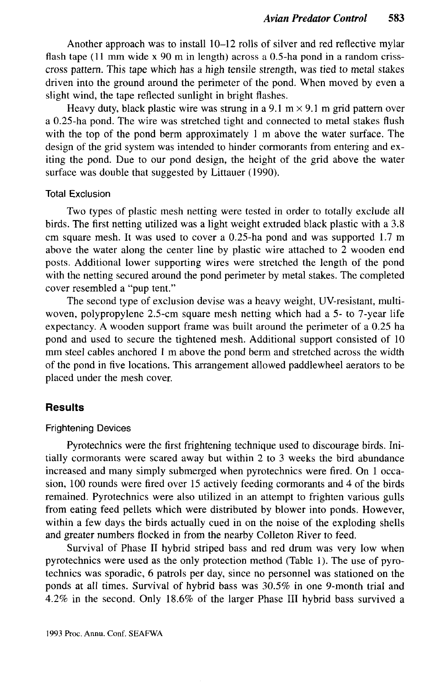Another approach was to install 10-12 rolls of silver and red reflective mylar flash tape (11 mm wide x 90 m in length) across a 0.5-ha pond in a random crisscross pattern. This tape which has a high tensile strength, was tied to metal stakes driven into the ground around the perimeter of the pond. When moved by even a slight wind, the tape reflected sunlight in bright flashes.

Heavy duty, black plastic wire was strung in a 9.1 m  $\times$  9.1 m grid pattern over a 0.25-ha pond. The wire was stretched tight and connected to metal stakes flush with the top of the pond berm approximately 1 m above the water surface. The design of the grid system was intended to hinder cormorants from entering and exiting the pond. Due to our pond design, the height of the grid above the water surface was double that suggested by Littauer (1990).

#### Total Exclusion

Two types of plastic mesh netting were tested in order to totally exclude all birds. The first netting utilized was a light weight extruded black plastic with a 3.8 cm square mesh. It was used to cover a 0.25-ha pond and was supported 1.7 m above the water along the center line by plastic wire attached to 2 wooden end posts. Additional lower supporting wires were stretched the length of the pond with the netting secured around the pond perimeter by metal stakes. The completed cover resembled a "pup tent."

The second type of exclusion devise was a heavy weight, UV-resistant, multiwoven, polypropylene 2.5-cm square mesh netting which had a 5- to 7-year life expectancy. A wooden support frame was built around the perimeter of a 0.25 ha pond and used to secure the tightened mesh. Additional support consisted of 10 mm steel cables anchored 1 m above the pond berm and stretched across the width of the pond in five locations. This arrangement allowed paddlewheel aerators to be placed under the mesh cover.

#### **Results**

#### Frightening Devices

Pyrotechnics were the first frightening technique used to discourage birds. Initially cormorants were scared away but within 2 to 3 weeks the bird abundance increased and many simply submerged when pyrotechnics were fired. On 1 occasion, 100 rounds were fired over 15 actively feeding cormorants and 4 of the birds remained. Pyrotechnics were also utilized in an attempt to frighten various gulls from eating feed pellets which were distributed by blower into ponds. However, within a few days the birds actually cued in on the noise of the exploding shells and greater numbers flocked in from the nearby Colleton River to feed.

Survival of Phase II hybrid striped bass and red drum was very low when pyrotechnics were used as the only protection method (Table 1). The use of pyrotechnics was sporadic, 6 patrols per day, since no personnel was stationed on the ponds at all times. Survival of hybrid bass was 30.5% in one 9-month trial and 4.2% in the second. Only 18.6% of the larger Phase III hybrid bass survived a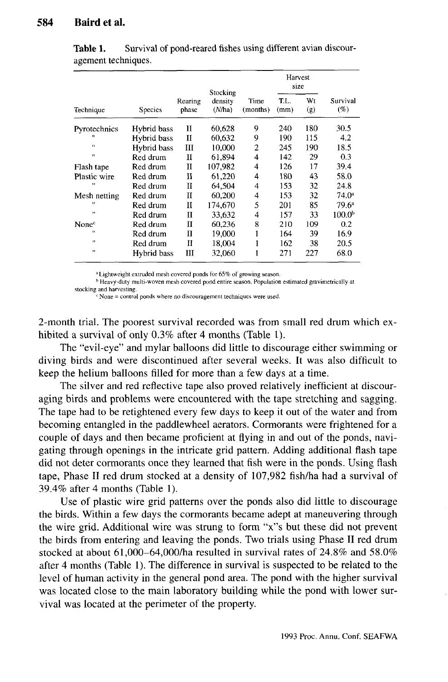| Technique         | Species     | Rearing<br>phase | Stocking<br>density<br>(N/ha) | Time<br>(months) | Harvest<br>size |           |                    |
|-------------------|-------------|------------------|-------------------------------|------------------|-----------------|-----------|--------------------|
|                   |             |                  |                               |                  | T.L.<br>(mm)    | Wt<br>(g) | Survival<br>$(\%)$ |
| Pyrotechnics      | Hybrid bass | п                | 60,628                        | 9                | 240             | 180       | 30.5               |
| $\mathbf{H}$      | Hybrid bass | п                | 60.632                        | 9                | 190             | 115       | 4.2                |
| $\mathbf{H}$      | Hybrid bass | Ш                | 10.000                        | $\overline{2}$   | 245             | 190       | 18.5               |
| $\mathbf{H}$      | Red drum    | п                | 61.894                        | 4                | 142             | 29        | 0.3                |
| Flash tape        | Red drum    | п                | 107.982                       | 4                | 126             | 17        | 39.4               |
| Plastic wire      | Red drum    | и                | 61.220                        | 4                | 180             | 43        | 58.0               |
| 11                | Red drum    | н                | 64.504                        | 4                | 153             | 32        | 24.8               |
| Mesh netting      | Red drum    | н                | 60,200                        | 4                | 153             | 32        | 74.0 <sup>a</sup>  |
| ,,                | Red drum    | Н                | 174,670                       | 5                | 201             | 85        | $79.6^{\circ}$     |
| Ħ                 | Red drum    | $\mathbf{H}$     | 33,632                        | 4                | 157             | 33        | 100.0 <sup>b</sup> |
| None <sup>c</sup> | Red drum    | $\mathbf{H}$     | 60.236                        | 8                | 210             | 109       | 0.2                |
| 11                | Red drum    | П                | 19,000                        |                  | 164             | 39        | 16.9               |
| и                 | Red drum    | П                | 18.004                        |                  | 162             | 38        | 20.5               |
| $\bullet$         | Hybrid bass | ш                | 32,060                        |                  | 271             | 227       | 68.0               |

**Table 1.** Survival of pond-reared fishes using different avian discouragement techniques.

a Lightweight extruded mesh covered ponds for 65% of growing season.

<sup>b</sup> Heavy-duty multi-woven mesh covered pond entire season. Population estimated gravimetrically at

stocking and harvesting.

 $c$  None = control ponds where no discouragement techniques were used.

2-month trial. The poorest survival recorded was from small red drum which exhibited a survival of only 0.3% after 4 months (Table 1).

The "evil-eye" and mylar balloons did little to discourage either swimming or diving birds and were discontinued after several weeks. It was also difficult to keep the helium balloons filled for more than a few days at a time.

The silver and red reflective tape also proved relatively inefficient at discouraging birds and problems were encountered with the tape stretching and sagging. The tape had to be retightened every few days to keep it out of the water and from becoming entangled in the paddlewheel aerators. Cormorants were frightened for a couple of days and then became proficient at flying in and out of the ponds, navigating through openings in the intricate grid pattern. Adding additional flash tape did not deter cormorants once they learned that fish were in the ponds. Using flash tape, Phase II red drum stocked at a density of 107,982 fish/ha had a survival of 39.4% after 4 months (Table 1).

Use of plastic wire grid patterns over the ponds also did little to discourage the birds. Within a few days the cormorants became adept at maneuvering through the wire grid. Additional wire was strung to form "x"s but these did not prevent the birds from entering and leaving the ponds. Two trials using Phase II red drum stocked at about 61,000-64,000/ha resulted in survival rates of 24.8% and 58.0% after 4 months (Table 1). The difference in survival is suspected to be related to the level of human activity in the general pond area. The pond with the higher survival was located close to the main laboratory building while the pond with lower survival was located at the perimeter of the property.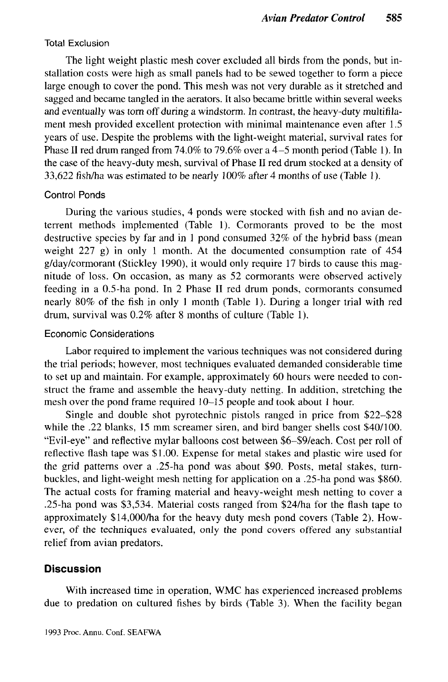### Total Exclusion

The light weight plastic mesh cover excluded all birds from the ponds, but installation costs were high as small panels had to be sewed together to form a piece large enough to cover the pond. This mesh was not very durable as it stretched and sagged and became tangled in the aerators. It also became brittle within several weeks and eventually was torn off during a windstorm. In contrast, the heavy-duty multifilament mesh provided excellent protection with minimal maintenance even after 1.5 years of use. Despite the problems with the light-weight material, survival rates for Phase II red drum ranged from 74.0% to 79.6% over a 4-5 month period (Table 1). In the case of the heavy-duty mesh, survival of Phase II red drum stocked at a density of 33,622 fish/ha was estimated to be nearly 100% after 4 months of use (Table 1).

## Control Ponds

During the various studies, 4 ponds were stocked with fish and no avian deterrent methods implemented (Table 1). Cormorants proved to be the most destructive species by far and in 1 pond consumed 32% of the hybrid bass (mean weight  $227$  g) in only 1 month. At the documented consumption rate of  $454$ g/day/cormorant (Stickley 1990), it would only require 17 birds to cause this magnitude of loss. On occasion, as many as 52 cormorants were observed actively feeding in a 0.5-ha pond. In 2 Phase II red drum ponds, cormorants consumed nearly 80% of the fish in only 1 month (Table 1). During a longer trial with red drum, survival was 0.2% after 8 months of culture (Table 1).

#### Economic Considerations

Labor required to implement the various techniques was not considered during the trial periods; however, most techniques evaluated demanded considerable time to set up and maintain. For example, approximately 60 hours were needed to construct the frame and assemble the heavy-duty netting. In addition, stretching the mesh over the pond frame required 10-15 people and took about 1 hour.

Single and double shot pyrotechnic pistols ranged in price from \$22-\$28 while the .22 blanks, 15 mm screamer siren, and bird banger shells cost \$40/100. "Evil-eye" and reflective mylar balloons cost between \$6-\$9/each. Cost per roll of reflective flash tape was \$1.00. Expense for metal stakes and plastic wire used for the grid patterns over a .25-ha pond was about \$90. Posts, metal stakes, turnbuckles, and light-weight mesh netting for application on a .25-ha pond was \$860. The actual costs for framing material and heavy-weight mesh netting to cover a .25-ha pond was \$3,534. Material costs ranged from \$24/ha for the flash tape to approximately \$14,000/ha for the heavy duty mesh pond covers (Table 2). However, of the techniques evaluated, only the pond covers offered any substantial relief from avian predators.

## **Discussion**

With increased time in operation, WMC has experienced increased problems due to predation on cultured fishes by birds (Table 3). When the facility began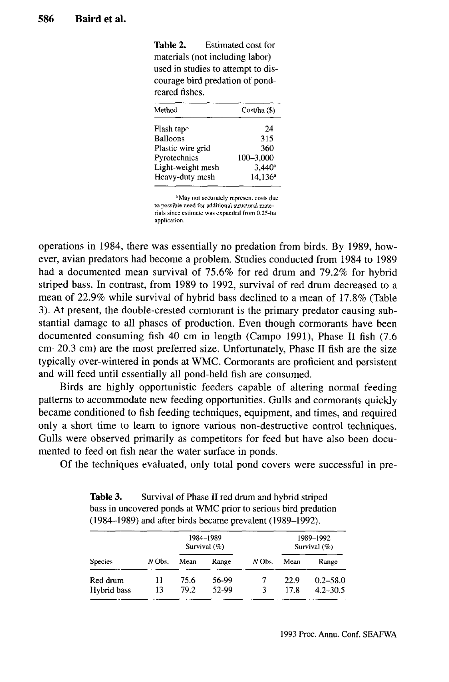**Table 2.** Estimated cost for materials (not including labor) used in studies to attempt to discourage bird predation of pondreared fishes.

| Method            | $Cost/ha$ (\$)       |  |  |
|-------------------|----------------------|--|--|
| Flash tap^        | 24                   |  |  |
| Balloons          | 315                  |  |  |
| Plastic wire grid | 360                  |  |  |
| Pyrotechnics      | 100-3,000            |  |  |
| Light-weight mesh | $3,440$ <sup>a</sup> |  |  |
| Heavy-duty mesh   | $14,136^a$           |  |  |
|                   |                      |  |  |

a May not accurately represent costs due to possible need for additional structural materials since estimate was expanded from 0.25-ha application.

operations in 1984, there was essentially no predation from birds. By 1989, however, avian predators had become a problem. Studies conducted from 1984 to 1989 had a documented mean survival of 75.6% for red drum and 79.2% for hybrid striped bass. In contrast, from 1989 to 1992, survival of red drum decreased to a mean of 22.9% while survival of hybrid bass declined to a mean of 17.8% (Table 3). At present, the double-crested cormorant is the primary predator causing substantial damage to all phases of production. Even though cormorants have been documented consuming fish 40 cm in length (Campo 1991), Phase II fish (7.6 cm-20.3 cm) are the most preferred size. Unfortunately, Phase II fish are the size typically over-wintered in ponds at WMC. Cormorants are proficient and persistent and will feed until essentially all pond-held fish are consumed.

Birds are highly opportunistic feeders capable of altering normal feeding patterns to accommodate new feeding opportunities. Gulls and cormorants quickly became conditioned to fish feeding techniques, equipment, and times, and required only a short time to learn to ignore various non-destructive control techniques. Gulls were observed primarily as competitors for feed but have also been documented to feed on fish near the water surface in ponds.

Of the techniques evaluated, only total pond covers were successful in pre-

| Table 3. | Survival of Phase II red drum and hybrid striped               |
|----------|----------------------------------------------------------------|
|          | bass in uncovered ponds at WMC prior to serious bird predation |
|          | $(1984-1989)$ and after birds became prevalent $(1989-1992)$ . |

| <b>Species</b> |        | 1984-1989<br>Survival (%) |       |        | 1989-1992<br>Survival $(\%)$ |              |
|----------------|--------|---------------------------|-------|--------|------------------------------|--------------|
|                | N Obs. | Mean                      | Range | N Obs. | Mean                         | Range        |
| Red drum       | 11     | 75.6                      | 56-99 |        | 22.9                         | $0.2 - 58.0$ |
| Hybrid bass    | 13     | 79.2                      | 52-99 | 3      | 17.8                         | $4.2 - 30.5$ |